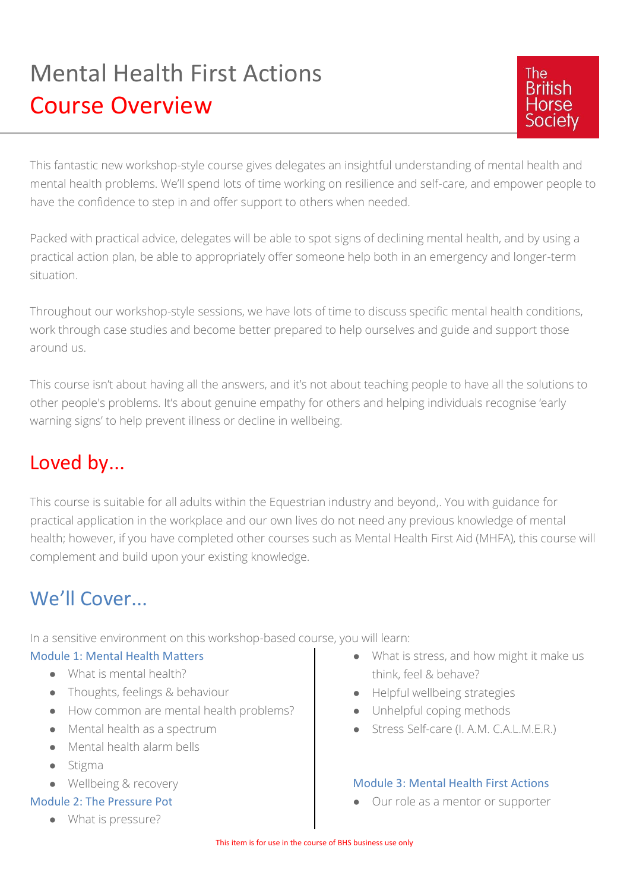# Mental Health First Actions Course Overview



This fantastic new workshop-style course gives delegates an insightful understanding of mental health and mental health problems. We'll spend lots of time working on resilience and self-care, and empower people to have the confidence to step in and offer support to others when needed.

Packed with practical advice, delegates will be able to spot signs of declining mental health, and by using a practical action plan, be able to appropriately offer someone help both in an emergency and longer-term situation.

Throughout our workshop-style sessions, we have lots of time to discuss specific mental health conditions, work through case studies and become better prepared to help ourselves and guide and support those around us.

This course isn't about having all the answers, and it's not about teaching people to have all the solutions to other people's problems. It's about genuine empathy for others and helping individuals recognise 'early warning signs' to help prevent illness or decline in wellbeing.

## Loved by...

This course is suitable for all adults within the Equestrian industry and beyond,. You with guidance for practical application in the workplace and our own lives do not need any previous knowledge of mental health; however, if you have completed other courses such as Mental Health First Aid (MHFA), this course will complement and build upon your existing knowledge.

# We'll Cover.

In a sensitive environment on this workshop-based course, you will learn:

#### Module 1: Mental Health Matters

- What is mental health?
- Thoughts, feelings & behaviour
- How common are mental health problems?
- Mental health as a spectrum
- Mental health alarm bells
- Stigma
- Wellbeing & recovery

#### Module 2: The Pressure Pot

● What is pressure?

- What is stress, and how might it make us think, feel & behave?
- Helpful wellbeing strategies
- Unhelpful coping methods
- Stress Self-care (I. A.M. C.A.L.M.E.R.)

#### Module 3: Mental Health First Actions

● Our role as a mentor or supporter